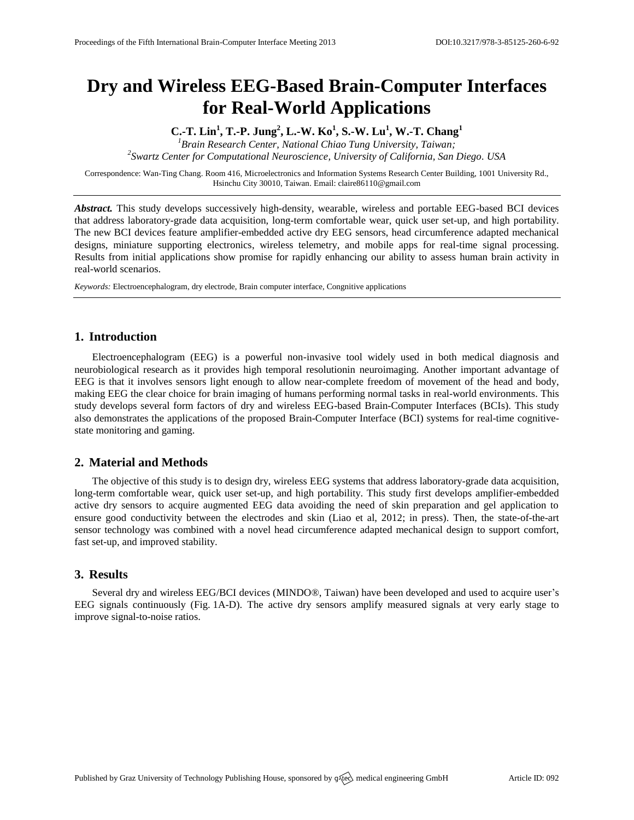# **Dry and Wireless EEG-Based Brain-Computer Interfaces for Real-World Applications**

**C.-T. Lin<sup>1</sup> , T.-P. Jung<sup>2</sup> , L.-W. Ko<sup>1</sup> , S.-W. Lu<sup>1</sup> , W.-T. Chang<sup>1</sup>** *<sup>1</sup>Brain Research Center, National Chiao Tung University, Taiwan;*

*2 Swartz Center for Computational Neuroscience, University of California, San Diego. USA*

Correspondence: Wan-Ting Chang. Room 416, Microelectronics and Information Systems Research Center Building, 1001 University Rd., Hsinchu City 30010, Taiwan. Email[: claire86110@gmail.com](mailto:claire86110@gmail.com)

*Abstract.* This study develops successively high-density, wearable, wireless and portable EEG-based BCI devices that address laboratory-grade data acquisition, long-term comfortable wear, quick user set-up, and high portability. The new BCI devices feature amplifier-embedded active dry EEG sensors, head circumference adapted mechanical designs, miniature supporting electronics, wireless telemetry, and mobile apps for real-time signal processing. Results from initial applications show promise for rapidly enhancing our ability to assess human brain activity in real-world scenarios.

*Keywords:* Electroencephalogram, dry electrode, Brain computer interface, Congnitive applications

## **1. Introduction**

Electroencephalogram (EEG) is a powerful non-invasive tool widely used in both medical diagnosis and neurobiological research as it provides high temporal resolutionin neuroimaging. Another important advantage of EEG is that it involves sensors light enough to allow near-complete freedom of movement of the head and body, making EEG the clear choice for brain imaging of humans performing normal tasks in real-world environments. This study develops several form factors of dry and wireless EEG-based Brain-Computer Interfaces (BCIs). This study also demonstrates the applications of the proposed Brain-Computer Interface (BCI) systems for real-time cognitivestate monitoring and gaming.

### **2. Material and Methods**

The objective of this study is to design dry, wireless EEG systems that address laboratory-grade data acquisition, long-term comfortable wear, quick user set-up, and high portability. This study first develops amplifier-embedded active dry sensors to acquire augmented EEG data avoiding the need of skin preparation and gel application to ensure good conductivity between the electrodes and skin (Liao et al, 2012; in press). Then, the state-of-the-art sensor technology was combined with a novel head circumference adapted mechanical design to support comfort, fast set-up, and improved stability.

## **3. Results**

Several dry and wireless EEG/BCI devices (MINDO®, Taiwan) have been developed and used to acquire user's EEG signals continuously (Fig. 1A-D). The active dry sensors amplify measured signals at very early stage to improve signal-to-noise ratios.